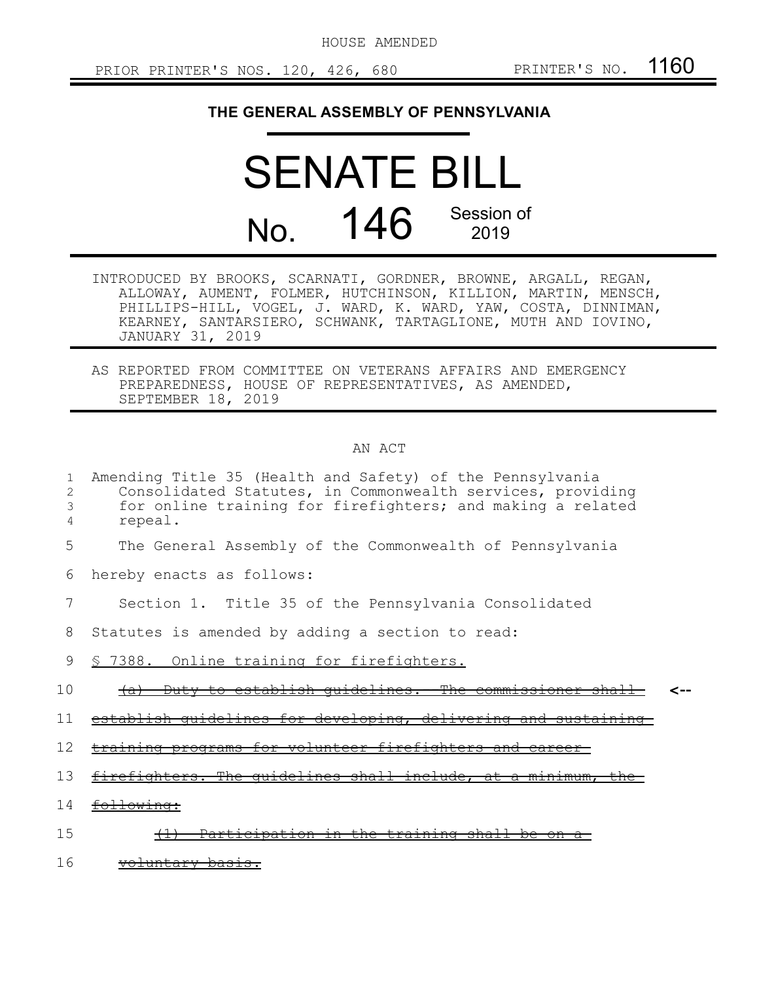HOUSE AMENDED

PRIOR PRINTER'S NOS. 120, 426, 680 PRINTER'S NO. 1160

## **THE GENERAL ASSEMBLY OF PENNSYLVANIA**

SENATE BILL No. 146 Session of 2019

- INTRODUCED BY BROOKS, SCARNATI, GORDNER, BROWNE, ARGALL, REGAN, ALLOWAY, AUMENT, FOLMER, HUTCHINSON, KILLION, MARTIN, MENSCH, PHILLIPS-HILL, VOGEL, J. WARD, K. WARD, YAW, COSTA, DINNIMAN, KEARNEY, SANTARSIERO, SCHWANK, TARTAGLIONE, MUTH AND IOVINO, JANUARY 31, 2019
- AS REPORTED FROM COMMITTEE ON VETERANS AFFAIRS AND EMERGENCY PREPAREDNESS, HOUSE OF REPRESENTATIVES, AS AMENDED, SEPTEMBER 18, 2019

## AN ACT

| 1<br>2<br>3<br>4 | Amending Title 35 (Health and Safety) of the Pennsylvania<br>Consolidated Statutes, in Commonwealth services, providing<br>for online training for firefighters; and making a related<br>repeal. |
|------------------|--------------------------------------------------------------------------------------------------------------------------------------------------------------------------------------------------|
| 5                | The General Assembly of the Commonwealth of Pennsylvania                                                                                                                                         |
| 6                | hereby enacts as follows:                                                                                                                                                                        |
|                  | Section 1. Title 35 of the Pennsylvania Consolidated                                                                                                                                             |
| 8                | Statutes is amended by adding a section to read:                                                                                                                                                 |
| 9                | § 7388. Online training for firefighters.                                                                                                                                                        |
| 10               | Duty to establish quidelines. The commissioner shall<br><del>(a)</del>                                                                                                                           |
| 11               | establish quidelines for developing, delivering and sustaining                                                                                                                                   |
| 12               | training programs for volunteer firefighters and career                                                                                                                                          |
| 13               | firefighters. The quidelines shall include, at a minimum, the                                                                                                                                    |
| 14               | following:                                                                                                                                                                                       |
| 15               | Participation in the training shall be<br><del>on a-</del>                                                                                                                                       |
| 16               | <del>voluntary basis.</del>                                                                                                                                                                      |
|                  |                                                                                                                                                                                                  |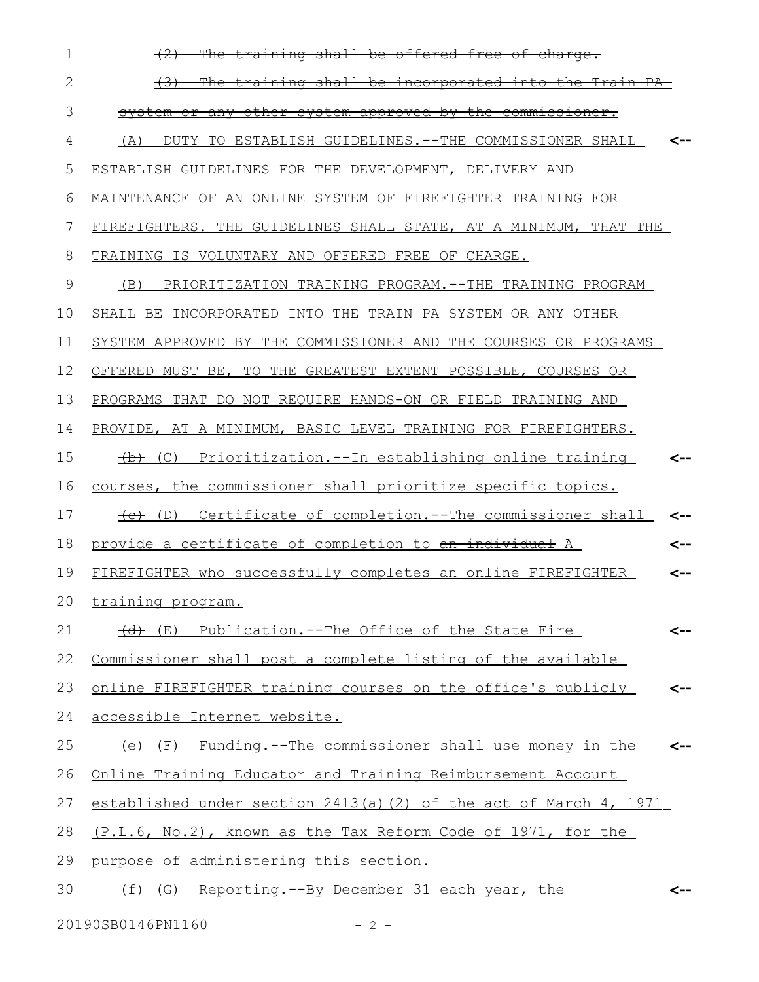| 1            | The training shall be offered free of charge.                          |     |
|--------------|------------------------------------------------------------------------|-----|
| $\mathbf{2}$ | The training shall be incorporated into the Train PA<br><del>(3)</del> |     |
| 3            | system or any other system approved by the commissioner.               |     |
| 4            | (A)<br>DUTY TO ESTABLISH GUIDELINES. -- THE COMMISSIONER SHALL         |     |
| 5            | ESTABLISH GUIDELINES FOR THE DEVELOPMENT, DELIVERY AND                 |     |
| 6            | MAINTENANCE OF AN ONLINE SYSTEM OF FIREFIGHTER TRAINING FOR            |     |
| 7            | FIREFIGHTERS. THE GUIDELINES SHALL STATE, AT A MINIMUM, THAT THE       |     |
| 8            | TRAINING IS VOLUNTARY AND OFFERED FREE OF CHARGE.                      |     |
| 9            | (B)<br>PRIORITIZATION TRAINING PROGRAM.--THE TRAINING PROGRAM          |     |
| 10           | SHALL BE INCORPORATED INTO THE TRAIN PA SYSTEM OR ANY OTHER            |     |
| 11           | SYSTEM APPROVED BY THE COMMISSIONER AND THE COURSES OR PROGRAMS        |     |
| 12           | OFFERED MUST BE, TO THE GREATEST EXTENT POSSIBLE, COURSES OR           |     |
| 13           | PROGRAMS THAT DO NOT REQUIRE HANDS-ON OR FIELD TRAINING AND            |     |
| 14           | PROVIDE, AT A MINIMUM, BASIC LEVEL TRAINING FOR FIREFIGHTERS.          |     |
| 15           | (c) Prioritization.--In establishing online training                   |     |
| 16           | courses, the commissioner shall prioritize specific topics.            |     |
| 17           | (D) Certificate of completion.--The commissioner shall                 | <-- |
| 18           | provide a certificate of completion to an individual A                 | <-- |
| 19           | FIREFIGHTER who successfully completes an online FIREFIGHTER           | --> |
|              | 20 training program.                                                   |     |
| 21           | (d) (E) Publication.--The Office of the State Fire                     | <-- |
| 22           | Commissioner shall post a complete listing of the available            |     |
| 23           | online FIREFIGHTER training courses on the office's publicly           | <-- |
| 24           | accessible Internet website.                                           |     |
| 25           | (F) Funding.--The commissioner shall use money in the                  | <-- |
| 26           | Online Training Educator and Training Reimbursement Account            |     |
| 27           | established under section 2413(a)(2) of the act of March 4, 1971       |     |
| 28           | (P.L.6, No.2), known as the Tax Reform Code of 1971, for the           |     |
| 29           | purpose of administering this section.                                 |     |
| 30           | (f) (G) Reporting.--By December 31 each year, the                      |     |